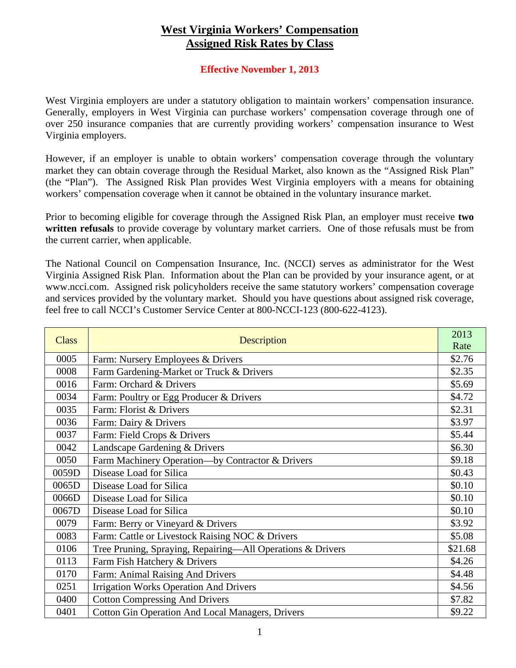## **West Virginia Workers' Compensation Assigned Risk Rates by Class**

## **Effective November 1, 2013**

West Virginia employers are under a statutory obligation to maintain workers' compensation insurance. Generally, employers in West Virginia can purchase workers' compensation coverage through one of over 250 insurance companies that are currently providing workers' compensation insurance to West Virginia employers.

However, if an employer is unable to obtain workers' compensation coverage through the voluntary market they can obtain coverage through the Residual Market, also known as the "Assigned Risk Plan" (the "Plan"). The Assigned Risk Plan provides West Virginia employers with a means for obtaining workers' compensation coverage when it cannot be obtained in the voluntary insurance market.

Prior to becoming eligible for coverage through the Assigned Risk Plan, an employer must receive **two written refusals** to provide coverage by voluntary market carriers. One of those refusals must be from the current carrier, when applicable.

The National Council on Compensation Insurance, Inc. (NCCI) serves as administrator for the West Virginia Assigned Risk Plan. Information about the Plan can be provided by your insurance agent, or at www.ncci.com. Assigned risk policyholders receive the same statutory workers' compensation coverage and services provided by the voluntary market. Should you have questions about assigned risk coverage, feel free to call NCCI's Customer Service Center at 800-NCCI-123 (800-622-4123).

| <b>Class</b> | Description                                                | 2013<br>Rate |
|--------------|------------------------------------------------------------|--------------|
| 0005         | Farm: Nursery Employees & Drivers                          | \$2.76       |
| 0008         | Farm Gardening-Market or Truck & Drivers                   | \$2.35       |
| 0016         | Farm: Orchard & Drivers                                    | \$5.69       |
| 0034         | Farm: Poultry or Egg Producer & Drivers                    | \$4.72       |
| 0035         | Farm: Florist & Drivers                                    | \$2.31       |
| 0036         | Farm: Dairy & Drivers                                      | \$3.97       |
| 0037         | Farm: Field Crops & Drivers                                | \$5.44       |
| 0042         | Landscape Gardening & Drivers                              | \$6.30       |
| 0050         | Farm Machinery Operation-by Contractor & Drivers           | \$9.18       |
| 0059D        | Disease Load for Silica                                    | \$0.43       |
| 0065D        | Disease Load for Silica                                    | \$0.10       |
| 0066D        | Disease Load for Silica                                    | \$0.10       |
| 0067D        | Disease Load for Silica                                    | \$0.10       |
| 0079         | Farm: Berry or Vineyard & Drivers                          | \$3.92       |
| 0083         | Farm: Cattle or Livestock Raising NOC & Drivers            | \$5.08       |
| 0106         | Tree Pruning, Spraying, Repairing-All Operations & Drivers | \$21.68      |
| 0113         | Farm Fish Hatchery & Drivers                               | \$4.26       |
| 0170         | Farm: Animal Raising And Drivers                           | \$4.48       |
| 0251         | <b>Irrigation Works Operation And Drivers</b>              | \$4.56       |
| 0400         | <b>Cotton Compressing And Drivers</b>                      | \$7.82       |
| 0401         | <b>Cotton Gin Operation And Local Managers, Drivers</b>    | \$9.22       |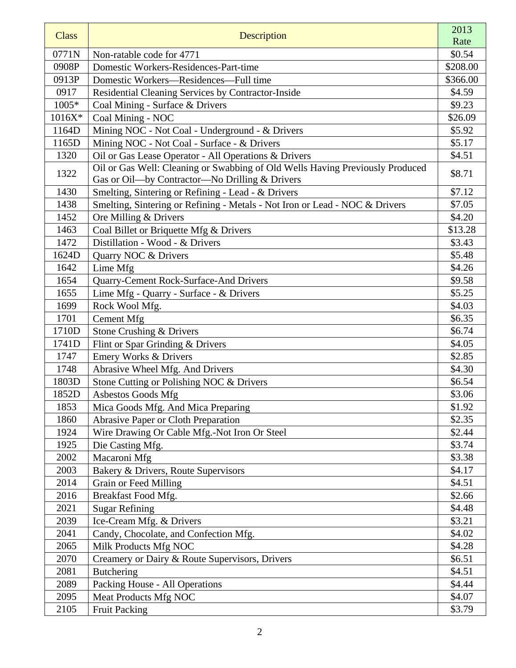|              |                                                                               | 2013             |
|--------------|-------------------------------------------------------------------------------|------------------|
| <b>Class</b> | Description                                                                   | Rate             |
| 0771N        | Non-ratable code for 4771                                                     | \$0.54           |
| 0908P        | Domestic Workers-Residences-Part-time                                         | \$208.00         |
| 0913P        | Domestic Workers-Residences-Full time                                         | \$366.00         |
| 0917         | Residential Cleaning Services by Contractor-Inside                            | \$4.59           |
| 1005*        | Coal Mining - Surface & Drivers                                               | \$9.23           |
| $1016X*$     | Coal Mining - NOC                                                             | \$26.09          |
| 1164D        | Mining NOC - Not Coal - Underground - & Drivers                               | \$5.92           |
| 1165D        | Mining NOC - Not Coal - Surface - & Drivers                                   | \$5.17           |
| 1320         | Oil or Gas Lease Operator - All Operations & Drivers                          | \$4.51           |
| 1322         | Oil or Gas Well: Cleaning or Swabbing of Old Wells Having Previously Produced | \$8.71           |
|              | Gas or Oil-by Contractor-No Drilling & Drivers                                |                  |
| 1430         | Smelting, Sintering or Refining - Lead - & Drivers                            | \$7.12           |
| 1438         | Smelting, Sintering or Refining - Metals - Not Iron or Lead - NOC & Drivers   | \$7.05           |
| 1452         | Ore Milling & Drivers                                                         | \$4.20           |
| 1463         | Coal Billet or Briquette Mfg & Drivers                                        | \$13.28          |
| 1472         | Distillation - Wood - & Drivers                                               | \$3.43           |
| 1624D        | Quarry NOC & Drivers                                                          | \$5.48           |
| 1642         | Lime Mfg                                                                      | \$4.26           |
| 1654         | Quarry-Cement Rock-Surface-And Drivers                                        | \$9.58           |
| 1655         | Lime Mfg - Quarry - Surface - & Drivers                                       | \$5.25           |
| 1699         | Rock Wool Mfg.                                                                | \$4.03           |
| 1701         | Cement Mfg                                                                    | \$6.35           |
| 1710D        | Stone Crushing & Drivers                                                      | \$6.74           |
| 1741D        | Flint or Spar Grinding & Drivers                                              | \$4.05           |
| 1747         | Emery Works & Drivers                                                         | \$2.85           |
| 1748         | Abrasive Wheel Mfg. And Drivers                                               | \$4.30           |
| 1803D        | Stone Cutting or Polishing NOC & Drivers                                      | \$6.54           |
| 1852D        | Asbestos Goods Mfg                                                            | \$3.06           |
| 1853         | Mica Goods Mfg. And Mica Preparing                                            | \$1.92           |
| 1860         | <b>Abrasive Paper or Cloth Preparation</b>                                    | \$2.35           |
| 1924         | Wire Drawing Or Cable Mfg.-Not Iron Or Steel                                  | \$2.44<br>\$3.74 |
| 1925<br>2002 | Die Casting Mfg.                                                              | \$3.38           |
| 2003         | Macaroni Mfg                                                                  | \$4.17           |
| 2014         | Bakery & Drivers, Route Supervisors<br>Grain or Feed Milling                  | \$4.51           |
| 2016         | Breakfast Food Mfg.                                                           | \$2.66           |
| 2021         | <b>Sugar Refining</b>                                                         | \$4.48           |
| 2039         | Ice-Cream Mfg. & Drivers                                                      | \$3.21           |
| 2041         | Candy, Chocolate, and Confection Mfg.                                         | \$4.02           |
| 2065         | Milk Products Mfg NOC                                                         | \$4.28           |
| 2070         | Creamery or Dairy & Route Supervisors, Drivers                                | \$6.51           |
| 2081         | <b>Butchering</b>                                                             | \$4.51           |
| 2089         | Packing House - All Operations                                                | \$4.44           |
| 2095         | Meat Products Mfg NOC                                                         | \$4.07           |
| 2105         | <b>Fruit Packing</b>                                                          | \$3.79           |
|              |                                                                               |                  |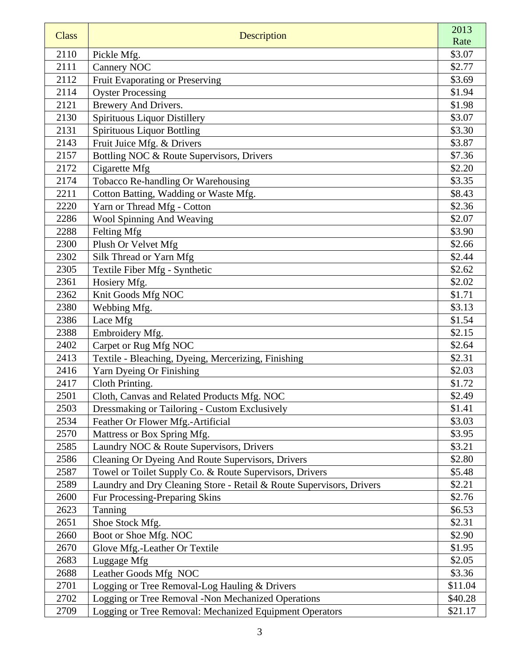| <b>Class</b> | Description                                                          | 2013    |
|--------------|----------------------------------------------------------------------|---------|
|              |                                                                      | Rate    |
| 2110         | Pickle Mfg.                                                          | \$3.07  |
| 2111         | <b>Cannery NOC</b>                                                   | \$2.77  |
| 2112         | Fruit Evaporating or Preserving                                      | \$3.69  |
| 2114         | <b>Oyster Processing</b>                                             | \$1.94  |
| 2121         | Brewery And Drivers.                                                 | \$1.98  |
| 2130         | <b>Spirituous Liquor Distillery</b>                                  | \$3.07  |
| 2131         | <b>Spirituous Liquor Bottling</b>                                    | \$3.30  |
| 2143         | Fruit Juice Mfg. & Drivers                                           | \$3.87  |
| 2157         | Bottling NOC & Route Supervisors, Drivers                            | \$7.36  |
| 2172         | Cigarette Mfg                                                        | \$2.20  |
| 2174         | Tobacco Re-handling Or Warehousing                                   | \$3.35  |
| 2211         | Cotton Batting, Wadding or Waste Mfg.                                | \$8.43  |
| 2220         | Yarn or Thread Mfg - Cotton                                          | \$2.36  |
| 2286         | Wool Spinning And Weaving                                            | \$2.07  |
| 2288         | Felting Mfg                                                          | \$3.90  |
| 2300         | Plush Or Velvet Mfg                                                  | \$2.66  |
| 2302         | Silk Thread or Yarn Mfg                                              | \$2.44  |
| 2305         | Textile Fiber Mfg - Synthetic                                        | \$2.62  |
| 2361         | Hosiery Mfg.                                                         | \$2.02  |
| 2362         | Knit Goods Mfg NOC                                                   | \$1.71  |
| 2380         | Webbing Mfg.                                                         | \$3.13  |
| 2386         | Lace Mfg                                                             | \$1.54  |
| 2388         | Embroidery Mfg.                                                      | \$2.15  |
| 2402         | Carpet or Rug Mfg NOC                                                | \$2.64  |
| 2413         | Textile - Bleaching, Dyeing, Mercerizing, Finishing                  | \$2.31  |
| 2416         | Yarn Dyeing Or Finishing                                             | \$2.03  |
| 2417         | Cloth Printing.                                                      | \$1.72  |
| 2501         | Cloth, Canvas and Related Products Mfg. NOC                          | \$2.49  |
| 2503         | Dressmaking or Tailoring - Custom Exclusively                        | \$1.41  |
| 2534         | Feather Or Flower Mfg.-Artificial                                    | \$3.03  |
| 2570         | Mattress or Box Spring Mfg.                                          | \$3.95  |
| 2585         | Laundry NOC & Route Supervisors, Drivers                             | \$3.21  |
| 2586         | Cleaning Or Dyeing And Route Supervisors, Drivers                    | \$2.80  |
| 2587         | Towel or Toilet Supply Co. & Route Supervisors, Drivers              | \$5.48  |
| 2589         | Laundry and Dry Cleaning Store - Retail & Route Supervisors, Drivers | \$2.21  |
| 2600         | Fur Processing-Preparing Skins                                       | \$2.76  |
| 2623         | Tanning                                                              | \$6.53  |
| 2651         | Shoe Stock Mfg.                                                      | \$2.31  |
| 2660         | Boot or Shoe Mfg. NOC                                                | \$2.90  |
| 2670         | Glove Mfg.-Leather Or Textile                                        | \$1.95  |
| 2683         | Luggage Mfg                                                          | \$2.05  |
| 2688         | Leather Goods Mfg NOC                                                | \$3.36  |
| 2701<br>2702 | Logging or Tree Removal-Log Hauling & Drivers                        | \$11.04 |
|              | Logging or Tree Removal -Non Mechanized Operations                   | \$40.28 |
| 2709         | Logging or Tree Removal: Mechanized Equipment Operators              | \$21.17 |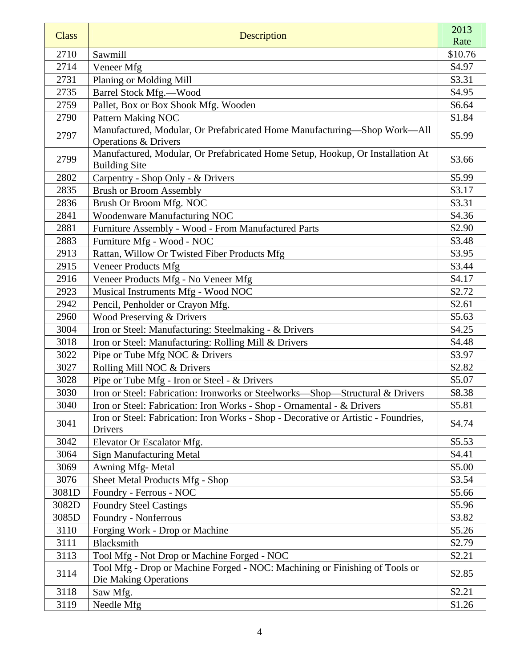| <b>Class</b> | Description                                                                                                 | 2013    |
|--------------|-------------------------------------------------------------------------------------------------------------|---------|
|              |                                                                                                             | Rate    |
| 2710         | Sawmill                                                                                                     | \$10.76 |
| 2714         | Veneer Mfg                                                                                                  | \$4.97  |
| 2731         | Planing or Molding Mill                                                                                     | \$3.31  |
| 2735         | Barrel Stock Mfg.--Wood                                                                                     | \$4.95  |
| 2759         | Pallet, Box or Box Shook Mfg. Wooden                                                                        | \$6.64  |
| 2790         | Pattern Making NOC                                                                                          | \$1.84  |
| 2797         | Manufactured, Modular, Or Prefabricated Home Manufacturing-Shop Work-All<br><b>Operations &amp; Drivers</b> | \$5.99  |
| 2799         | Manufactured, Modular, Or Prefabricated Home Setup, Hookup, Or Installation At<br><b>Building Site</b>      | \$3.66  |
| 2802         | Carpentry - Shop Only - & Drivers                                                                           | \$5.99  |
| 2835         | <b>Brush or Broom Assembly</b>                                                                              | \$3.17  |
| 2836         | Brush Or Broom Mfg. NOC                                                                                     | \$3.31  |
| 2841         | Woodenware Manufacturing NOC                                                                                | \$4.36  |
| 2881         | Furniture Assembly - Wood - From Manufactured Parts                                                         | \$2.90  |
| 2883         | Furniture Mfg - Wood - NOC                                                                                  | \$3.48  |
| 2913         | Rattan, Willow Or Twisted Fiber Products Mfg                                                                | \$3.95  |
| 2915         | <b>Veneer Products Mfg</b>                                                                                  | \$3.44  |
| 2916         | Veneer Products Mfg - No Veneer Mfg                                                                         | \$4.17  |
| 2923         | Musical Instruments Mfg - Wood NOC                                                                          | \$2.72  |
| 2942         | Pencil, Penholder or Crayon Mfg.                                                                            | \$2.61  |
| 2960         | Wood Preserving & Drivers                                                                                   | \$5.63  |
| 3004         | Iron or Steel: Manufacturing: Steelmaking - & Drivers                                                       | \$4.25  |
| 3018         | Iron or Steel: Manufacturing: Rolling Mill & Drivers                                                        | \$4.48  |
| 3022         | Pipe or Tube Mfg NOC & Drivers                                                                              | \$3.97  |
| 3027         | Rolling Mill NOC & Drivers                                                                                  | \$2.82  |
| 3028         | Pipe or Tube Mfg - Iron or Steel - & Drivers                                                                | \$5.07  |
| 3030         | Iron or Steel: Fabrication: Ironworks or Steelworks-Shop-Structural & Drivers                               | \$8.38  |
| 3040         | Iron or Steel: Fabrication: Iron Works - Shop - Ornamental - & Drivers                                      | \$5.81  |
| 3041         | Iron or Steel: Fabrication: Iron Works - Shop - Decorative or Artistic - Foundries,<br>Drivers              | \$4.74  |
| 3042         | Elevator Or Escalator Mfg.                                                                                  | \$5.53  |
| 3064         | <b>Sign Manufacturing Metal</b>                                                                             | \$4.41  |
| 3069         | Awning Mfg-Metal                                                                                            | \$5.00  |
| 3076         | Sheet Metal Products Mfg - Shop                                                                             | \$3.54  |
| 3081D        | Foundry - Ferrous - NOC                                                                                     | \$5.66  |
| 3082D        | <b>Foundry Steel Castings</b>                                                                               | \$5.96  |
| 3085D        | Foundry - Nonferrous                                                                                        | \$3.82  |
| 3110         | Forging Work - Drop or Machine                                                                              | \$5.26  |
| 3111         | <b>Blacksmith</b>                                                                                           | \$2.79  |
| 3113         | Tool Mfg - Not Drop or Machine Forged - NOC                                                                 | \$2.21  |
| 3114         | Tool Mfg - Drop or Machine Forged - NOC: Machining or Finishing of Tools or<br>Die Making Operations        | \$2.85  |
| 3118         | Saw Mfg.                                                                                                    | \$2.21  |
| 3119         | Needle Mfg                                                                                                  | \$1.26  |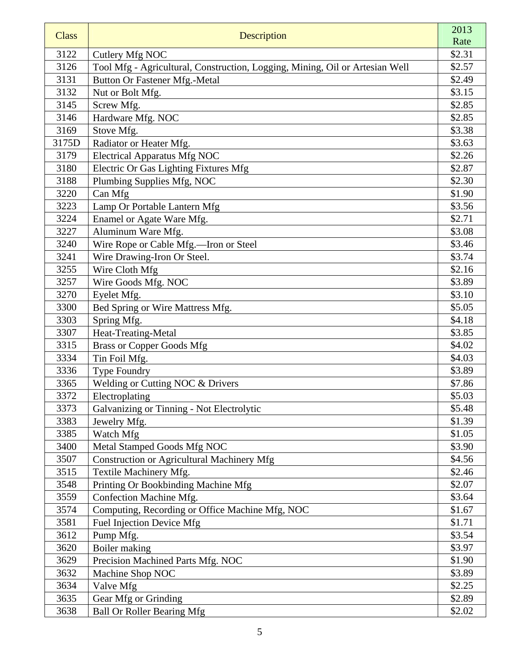| <b>Class</b> | Description                                                                  | 2013<br>Rate |
|--------------|------------------------------------------------------------------------------|--------------|
| 3122         | Cutlery Mfg NOC                                                              | \$2.31       |
| 3126         | Tool Mfg - Agricultural, Construction, Logging, Mining, Oil or Artesian Well | \$2.57       |
| 3131         | <b>Button Or Fastener Mfg.-Metal</b>                                         | \$2.49       |
| 3132         | Nut or Bolt Mfg.                                                             | \$3.15       |
| 3145         | Screw Mfg.                                                                   | \$2.85       |
| 3146         | Hardware Mfg. NOC                                                            | \$2.85       |
| 3169         | Stove Mfg.                                                                   | \$3.38       |
| 3175D        | Radiator or Heater Mfg.                                                      | \$3.63       |
| 3179         | <b>Electrical Apparatus Mfg NOC</b>                                          | \$2.26       |
| 3180         | Electric Or Gas Lighting Fixtures Mfg                                        | \$2.87       |
| 3188         | Plumbing Supplies Mfg, NOC                                                   | \$2.30       |
| 3220         | Can Mfg                                                                      | \$1.90       |
| 3223         | Lamp Or Portable Lantern Mfg                                                 | \$3.56       |
| 3224         | Enamel or Agate Ware Mfg.                                                    | \$2.71       |
| 3227         | Aluminum Ware Mfg.                                                           | \$3.08       |
| 3240         | Wire Rope or Cable Mfg.-Iron or Steel                                        | \$3.46       |
| 3241         | Wire Drawing-Iron Or Steel.                                                  | \$3.74       |
| 3255         | Wire Cloth Mfg                                                               | \$2.16       |
| 3257         | Wire Goods Mfg. NOC                                                          | \$3.89       |
| 3270         | Eyelet Mfg.                                                                  | \$3.10       |
| 3300         | Bed Spring or Wire Mattress Mfg.                                             | \$5.05       |
| 3303         | Spring Mfg.                                                                  | \$4.18       |
| 3307         | Heat-Treating-Metal                                                          | \$3.85       |
| 3315         | <b>Brass or Copper Goods Mfg</b>                                             | \$4.02       |
| 3334         | Tin Foil Mfg.                                                                | \$4.03       |
| 3336         | <b>Type Foundry</b>                                                          | \$3.89       |
| 3365         | Welding or Cutting NOC & Drivers                                             | \$7.86       |
| 3372         | Electroplating                                                               | \$5.03       |
| 3373         | Galvanizing or Tinning - Not Electrolytic                                    | \$5.48       |
| 3383         | Jewelry Mfg.                                                                 | \$1.39       |
| 3385         | Watch Mfg                                                                    | \$1.05       |
| 3400         | Metal Stamped Goods Mfg NOC                                                  | \$3.90       |
| 3507         | <b>Construction or Agricultural Machinery Mfg</b>                            | \$4.56       |
| 3515         | Textile Machinery Mfg.                                                       | \$2.46       |
| 3548         | Printing Or Bookbinding Machine Mfg                                          | \$2.07       |
| 3559         | Confection Machine Mfg.                                                      | \$3.64       |
| 3574         | Computing, Recording or Office Machine Mfg, NOC                              | \$1.67       |
| 3581         | Fuel Injection Device Mfg                                                    | \$1.71       |
| 3612         | Pump Mfg.                                                                    | \$3.54       |
| 3620         | Boiler making                                                                | \$3.97       |
| 3629         | Precision Machined Parts Mfg. NOC                                            | \$1.90       |
| 3632         | Machine Shop NOC                                                             | \$3.89       |
| 3634         | Valve Mfg                                                                    | \$2.25       |
| 3635         | Gear Mfg or Grinding                                                         | \$2.89       |
| 3638         | <b>Ball Or Roller Bearing Mfg</b>                                            | \$2.02       |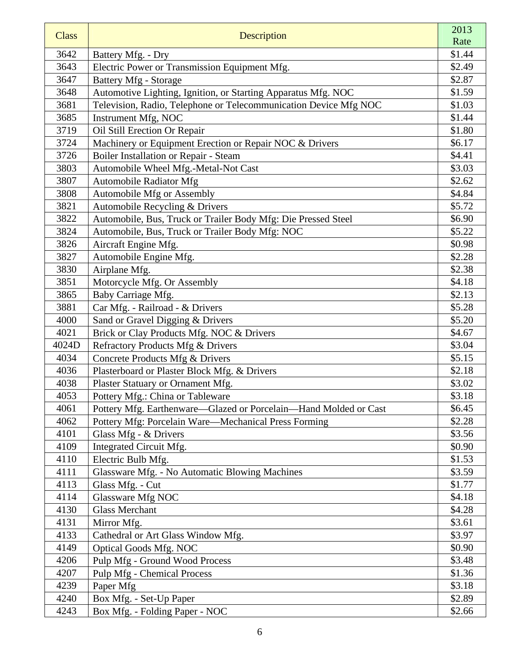| <b>Class</b> | Description                                                      | 2013<br>Rate |
|--------------|------------------------------------------------------------------|--------------|
| 3642         | Battery Mfg. - Dry                                               | \$1.44       |
| 3643         | Electric Power or Transmission Equipment Mfg.                    | \$2.49       |
| 3647         | <b>Battery Mfg - Storage</b>                                     | \$2.87       |
| 3648         | Automotive Lighting, Ignition, or Starting Apparatus Mfg. NOC    | \$1.59       |
| 3681         | Television, Radio, Telephone or Telecommunication Device Mfg NOC | \$1.03       |
| 3685         | Instrument Mfg, NOC                                              | \$1.44       |
| 3719         | Oil Still Erection Or Repair                                     | \$1.80       |
| 3724         | Machinery or Equipment Erection or Repair NOC & Drivers          | \$6.17       |
| 3726         | Boiler Installation or Repair - Steam                            | \$4.41       |
| 3803         | Automobile Wheel Mfg.-Metal-Not Cast                             | \$3.03       |
| 3807         | <b>Automobile Radiator Mfg</b>                                   | \$2.62       |
| 3808         | Automobile Mfg or Assembly                                       | \$4.84       |
| 3821         | Automobile Recycling & Drivers                                   | \$5.72       |
| 3822         | Automobile, Bus, Truck or Trailer Body Mfg: Die Pressed Steel    | \$6.90       |
| 3824         | Automobile, Bus, Truck or Trailer Body Mfg: NOC                  | \$5.22       |
| 3826         | Aircraft Engine Mfg.                                             | \$0.98       |
| 3827         | Automobile Engine Mfg.                                           | \$2.28       |
| 3830         | Airplane Mfg.                                                    | \$2.38       |
| 3851         | Motorcycle Mfg. Or Assembly                                      | \$4.18       |
| 3865         | Baby Carriage Mfg.                                               | \$2.13       |
| 3881         | Car Mfg. - Railroad - & Drivers                                  | \$5.28       |
| 4000         | Sand or Gravel Digging & Drivers                                 | \$5.20       |
| 4021         | Brick or Clay Products Mfg. NOC & Drivers                        | \$4.67       |
| 4024D        | Refractory Products Mfg & Drivers                                | \$3.04       |
| 4034         | Concrete Products Mfg & Drivers                                  | \$5.15       |
| 4036         | Plasterboard or Plaster Block Mfg. & Drivers                     | \$2.18       |
| 4038         | Plaster Statuary or Ornament Mfg.                                | \$3.02       |
| 4053         | Pottery Mfg.: China or Tableware                                 | \$3.18       |
| 4061         | Pottery Mfg. Earthenware—Glazed or Porcelain—Hand Molded or Cast | \$6.45       |
| 4062         | Pottery Mfg: Porcelain Ware-Mechanical Press Forming             | \$2.28       |
| 4101         | Glass Mfg - & Drivers                                            | \$3.56       |
| 4109         | Integrated Circuit Mfg.                                          | \$0.90       |
| 4110         | Electric Bulb Mfg.                                               | \$1.53       |
| 4111         | Glassware Mfg. - No Automatic Blowing Machines                   | \$3.59       |
| 4113         | Glass Mfg. - Cut                                                 | \$1.77       |
| 4114         | Glassware Mfg NOC                                                | \$4.18       |
| 4130         | <b>Glass Merchant</b>                                            | \$4.28       |
| 4131         | Mirror Mfg.                                                      | \$3.61       |
| 4133         | Cathedral or Art Glass Window Mfg.                               | \$3.97       |
| 4149         | <b>Optical Goods Mfg. NOC</b>                                    | \$0.90       |
| 4206         | Pulp Mfg - Ground Wood Process                                   | \$3.48       |
| 4207         | <b>Pulp Mfg - Chemical Process</b>                               | \$1.36       |
| 4239         | Paper Mfg                                                        | \$3.18       |
| 4240         | Box Mfg. - Set-Up Paper                                          | \$2.89       |
| 4243         | Box Mfg. - Folding Paper - NOC                                   | \$2.66       |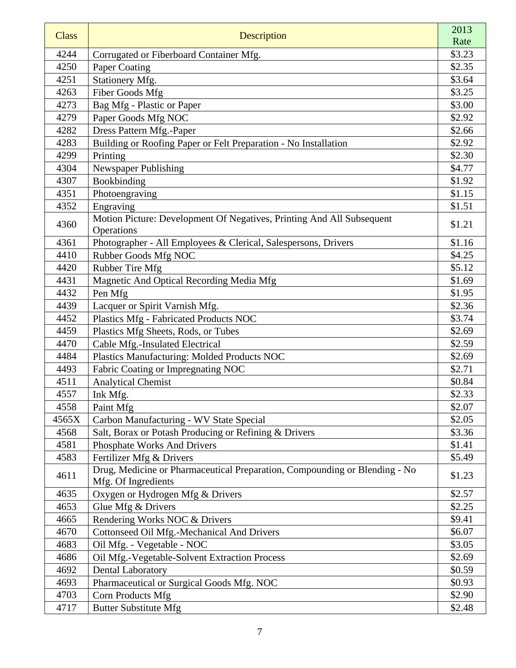|              |                                                                                                   | 2013   |
|--------------|---------------------------------------------------------------------------------------------------|--------|
| <b>Class</b> | Description                                                                                       | Rate   |
| 4244         | Corrugated or Fiberboard Container Mfg.                                                           | \$3.23 |
| 4250         | Paper Coating                                                                                     | \$2.35 |
| 4251         | Stationery Mfg.                                                                                   | \$3.64 |
| 4263         | <b>Fiber Goods Mfg</b>                                                                            | \$3.25 |
| 4273         | Bag Mfg - Plastic or Paper                                                                        | \$3.00 |
| 4279         | Paper Goods Mfg NOC                                                                               | \$2.92 |
| 4282         | Dress Pattern Mfg.-Paper                                                                          | \$2.66 |
| 4283         | Building or Roofing Paper or Felt Preparation - No Installation                                   | \$2.92 |
| 4299         | Printing                                                                                          | \$2.30 |
| 4304         | Newspaper Publishing                                                                              | \$4.77 |
| 4307         | Bookbinding                                                                                       | \$1.92 |
| 4351         | Photoengraving                                                                                    | \$1.15 |
| 4352         | Engraving                                                                                         | \$1.51 |
| 4360         | Motion Picture: Development Of Negatives, Printing And All Subsequent                             | \$1.21 |
|              | Operations                                                                                        |        |
| 4361         | Photographer - All Employees & Clerical, Salespersons, Drivers                                    | \$1.16 |
| 4410         | Rubber Goods Mfg NOC                                                                              | \$4.25 |
| 4420         | Rubber Tire Mfg                                                                                   | \$5.12 |
| 4431         | Magnetic And Optical Recording Media Mfg                                                          | \$1.69 |
| 4432         | Pen Mfg                                                                                           | \$1.95 |
| 4439         | Lacquer or Spirit Varnish Mfg.                                                                    | \$2.36 |
| 4452         | Plastics Mfg - Fabricated Products NOC                                                            | \$3.74 |
| 4459         | Plastics Mfg Sheets, Rods, or Tubes                                                               | \$2.69 |
| 4470         | Cable Mfg.-Insulated Electrical                                                                   | \$2.59 |
| 4484         | Plastics Manufacturing: Molded Products NOC                                                       | \$2.69 |
| 4493         | Fabric Coating or Impregnating NOC                                                                | \$2.71 |
| 4511         | <b>Analytical Chemist</b>                                                                         | \$0.84 |
| 4557         | Ink Mfg.                                                                                          | \$2.33 |
| 4558         | Paint Mfg                                                                                         | \$2.07 |
| 4565X        | Carbon Manufacturing - WV State Special                                                           | \$2.05 |
| 4568         | Salt, Borax or Potash Producing or Refining & Drivers                                             | \$3.36 |
| 4581         | Phosphate Works And Drivers                                                                       | \$1.41 |
| 4583         | Fertilizer Mfg & Drivers                                                                          | \$5.49 |
| 4611         | Drug, Medicine or Pharmaceutical Preparation, Compounding or Blending - No<br>Mfg. Of Ingredients | \$1.23 |
| 4635         | Oxygen or Hydrogen Mfg & Drivers                                                                  | \$2.57 |
| 4653         | Glue Mfg & Drivers                                                                                | \$2.25 |
| 4665         | Rendering Works NOC & Drivers                                                                     | \$9.41 |
| 4670         | Cottonseed Oil Mfg.-Mechanical And Drivers                                                        | \$6.07 |
| 4683         | Oil Mfg. - Vegetable - NOC                                                                        | \$3.05 |
| 4686         | Oil Mfg.-Vegetable-Solvent Extraction Process                                                     | \$2.69 |
| 4692         | <b>Dental Laboratory</b>                                                                          | \$0.59 |
| 4693         | Pharmaceutical or Surgical Goods Mfg. NOC                                                         | \$0.93 |
| 4703         | Corn Products Mfg                                                                                 | \$2.90 |
| 4717         | <b>Butter Substitute Mfg</b>                                                                      | \$2.48 |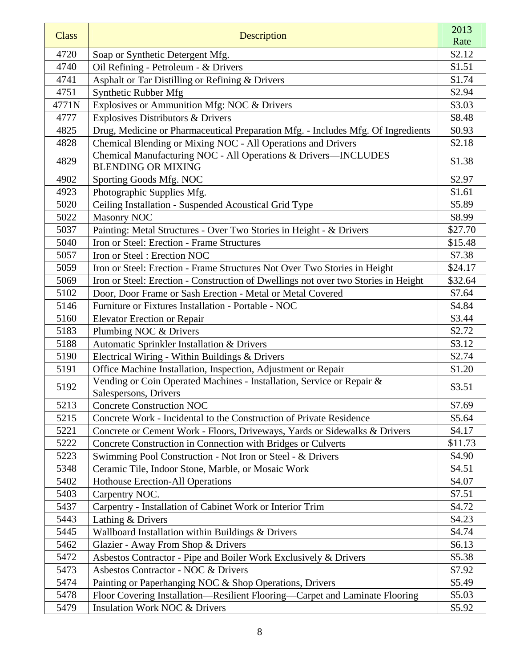| <b>Class</b> | Description                                                                                    | 2013    |
|--------------|------------------------------------------------------------------------------------------------|---------|
|              |                                                                                                | Rate    |
| 4720         | Soap or Synthetic Detergent Mfg.                                                               | \$2.12  |
| 4740         | Oil Refining - Petroleum - & Drivers                                                           | \$1.51  |
| 4741         | Asphalt or Tar Distilling or Refining & Drivers                                                | \$1.74  |
| 4751         | Synthetic Rubber Mfg                                                                           | \$2.94  |
| 4771N        | Explosives or Ammunition Mfg: NOC & Drivers                                                    | \$3.03  |
| 4777         | <b>Explosives Distributors &amp; Drivers</b>                                                   | \$8.48  |
| 4825         | Drug, Medicine or Pharmaceutical Preparation Mfg. - Includes Mfg. Of Ingredients               | \$0.93  |
| 4828         | Chemical Blending or Mixing NOC - All Operations and Drivers                                   | \$2.18  |
| 4829         | Chemical Manufacturing NOC - All Operations & Drivers-INCLUDES<br><b>BLENDING OR MIXING</b>    | \$1.38  |
| 4902         | Sporting Goods Mfg. NOC                                                                        | \$2.97  |
| 4923         | Photographic Supplies Mfg.                                                                     | \$1.61  |
| 5020         | Ceiling Installation - Suspended Acoustical Grid Type                                          | \$5.89  |
| 5022         | <b>Masonry NOC</b>                                                                             | \$8.99  |
| 5037         | Painting: Metal Structures - Over Two Stories in Height - & Drivers                            | \$27.70 |
| 5040         | Iron or Steel: Erection - Frame Structures                                                     | \$15.48 |
| 5057         | Iron or Steel: Erection NOC                                                                    | \$7.38  |
| 5059         | Iron or Steel: Erection - Frame Structures Not Over Two Stories in Height                      | \$24.17 |
| 5069         | Iron or Steel: Erection - Construction of Dwellings not over two Stories in Height             | \$32.64 |
| 5102         | Door, Door Frame or Sash Erection - Metal or Metal Covered                                     | \$7.64  |
| 5146         | Furniture or Fixtures Installation - Portable - NOC                                            | \$4.84  |
| 5160         | <b>Elevator Erection or Repair</b>                                                             | \$3.44  |
| 5183         | Plumbing NOC & Drivers                                                                         | \$2.72  |
| 5188         | Automatic Sprinkler Installation & Drivers                                                     | \$3.12  |
| 5190         | Electrical Wiring - Within Buildings & Drivers                                                 | \$2.74  |
| 5191         | Office Machine Installation, Inspection, Adjustment or Repair                                  | \$1.20  |
| 5192         | Vending or Coin Operated Machines - Installation, Service or Repair &<br>Salespersons, Drivers | \$3.51  |
| 5213         | <b>Concrete Construction NOC</b>                                                               | \$7.69  |
| 5215         | Concrete Work - Incidental to the Construction of Private Residence                            | \$5.64  |
| 5221         | Concrete or Cement Work - Floors, Driveways, Yards or Sidewalks & Drivers                      | \$4.17  |
| 5222         | Concrete Construction in Connection with Bridges or Culverts                                   | \$11.73 |
| 5223         | Swimming Pool Construction - Not Iron or Steel - & Drivers                                     | \$4.90  |
| 5348         | Ceramic Tile, Indoor Stone, Marble, or Mosaic Work                                             | \$4.51  |
| 5402         | <b>Hothouse Erection-All Operations</b>                                                        | \$4.07  |
| 5403         | Carpentry NOC.                                                                                 | \$7.51  |
| 5437         | Carpentry - Installation of Cabinet Work or Interior Trim                                      | \$4.72  |
| 5443         | Lathing & Drivers                                                                              | \$4.23  |
| 5445         | Wallboard Installation within Buildings & Drivers                                              | \$4.74  |
| 5462         | Glazier - Away From Shop & Drivers                                                             | \$6.13  |
| 5472         | Asbestos Contractor - Pipe and Boiler Work Exclusively & Drivers                               | \$5.38  |
| 5473         | Asbestos Contractor - NOC & Drivers                                                            | \$7.92  |
| 5474         | Painting or Paperhanging NOC & Shop Operations, Drivers                                        | \$5.49  |
| 5478         | Floor Covering Installation—Resilient Flooring—Carpet and Laminate Flooring                    | \$5.03  |
| 5479         | Insulation Work NOC & Drivers                                                                  | \$5.92  |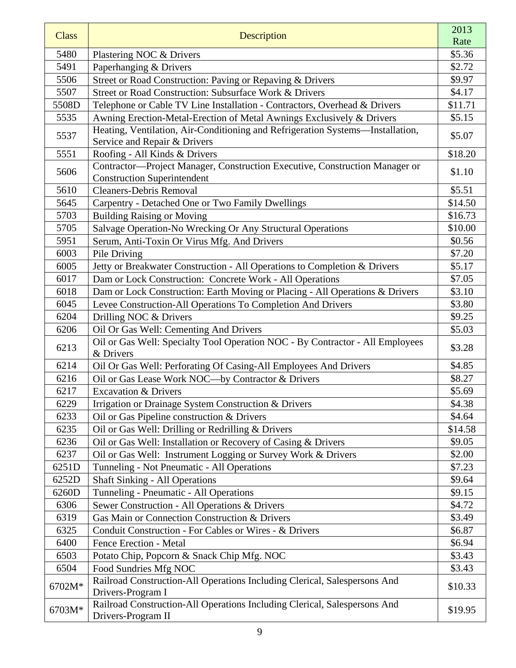| <b>Class</b> | Description                                                                                                       | 2013    |
|--------------|-------------------------------------------------------------------------------------------------------------------|---------|
|              |                                                                                                                   | Rate    |
| 5480         | Plastering NOC & Drivers                                                                                          | \$5.36  |
| 5491         | Paperhanging & Drivers                                                                                            | \$2.72  |
| 5506         | Street or Road Construction: Paving or Repaving & Drivers                                                         | \$9.97  |
| 5507         | Street or Road Construction: Subsurface Work & Drivers                                                            | \$4.17  |
| 5508D        | Telephone or Cable TV Line Installation - Contractors, Overhead & Drivers                                         | \$11.71 |
| 5535         | Awning Erection-Metal-Erection of Metal Awnings Exclusively & Drivers                                             | \$5.15  |
| 5537         | Heating, Ventilation, Air-Conditioning and Refrigeration Systems-Installation,<br>Service and Repair & Drivers    | \$5.07  |
| 5551         | Roofing - All Kinds & Drivers                                                                                     | \$18.20 |
| 5606         | Contractor-Project Manager, Construction Executive, Construction Manager or<br><b>Construction Superintendent</b> | \$1.10  |
| 5610         | <b>Cleaners-Debris Removal</b>                                                                                    | \$5.51  |
| 5645         | Carpentry - Detached One or Two Family Dwellings                                                                  | \$14.50 |
| 5703         | <b>Building Raising or Moving</b>                                                                                 | \$16.73 |
| 5705         | Salvage Operation-No Wrecking Or Any Structural Operations                                                        | \$10.00 |
| 5951         | Serum, Anti-Toxin Or Virus Mfg. And Drivers                                                                       | \$0.56  |
| 6003         | Pile Driving                                                                                                      | \$7.20  |
| 6005         | Jetty or Breakwater Construction - All Operations to Completion & Drivers                                         | \$5.17  |
| 6017         | Dam or Lock Construction: Concrete Work - All Operations                                                          | \$7.05  |
| 6018         | Dam or Lock Construction: Earth Moving or Placing - All Operations & Drivers                                      | \$3.10  |
| 6045         | Levee Construction-All Operations To Completion And Drivers                                                       | \$3.80  |
| 6204         | Drilling NOC & Drivers                                                                                            | \$9.25  |
| 6206         | Oil Or Gas Well: Cementing And Drivers                                                                            | \$5.03  |
|              | Oil or Gas Well: Specialty Tool Operation NOC - By Contractor - All Employees                                     |         |
| 6213         | & Drivers                                                                                                         | \$3.28  |
| 6214         | Oil Or Gas Well: Perforating Of Casing-All Employees And Drivers                                                  | \$4.85  |
| 6216         | Oil or Gas Lease Work NOC-by Contractor & Drivers                                                                 | \$8.27  |
| 6217         | <b>Excavation &amp; Drivers</b>                                                                                   | \$5.69  |
| 6229         | Irrigation or Drainage System Construction & Drivers                                                              | \$4.38  |
| 6233         | Oil or Gas Pipeline construction & Drivers                                                                        | \$4.64  |
| 6235         | Oil or Gas Well: Drilling or Redrilling & Drivers                                                                 | \$14.58 |
| 6236         | Oil or Gas Well: Installation or Recovery of Casing & Drivers                                                     | \$9.05  |
| 6237         | Oil or Gas Well: Instrument Logging or Survey Work & Drivers                                                      | \$2.00  |
| 6251D        | Tunneling - Not Pneumatic - All Operations                                                                        | \$7.23  |
| 6252D        | <b>Shaft Sinking - All Operations</b>                                                                             | \$9.64  |
| 6260D        | Tunneling - Pneumatic - All Operations                                                                            | \$9.15  |
| 6306         | Sewer Construction - All Operations & Drivers                                                                     | \$4.72  |
| 6319         | Gas Main or Connection Construction & Drivers                                                                     | \$3.49  |
| 6325         | Conduit Construction - For Cables or Wires - & Drivers                                                            | \$6.87  |
| 6400         | Fence Erection - Metal                                                                                            | \$6.94  |
| 6503         | Potato Chip, Popcorn & Snack Chip Mfg. NOC                                                                        | \$3.43  |
| 6504         | Food Sundries Mfg NOC                                                                                             | \$3.43  |
| 6702M*       | Railroad Construction-All Operations Including Clerical, Salespersons And<br>Drivers-Program I                    | \$10.33 |
| 6703M*       | Railroad Construction-All Operations Including Clerical, Salespersons And<br>Drivers-Program II                   | \$19.95 |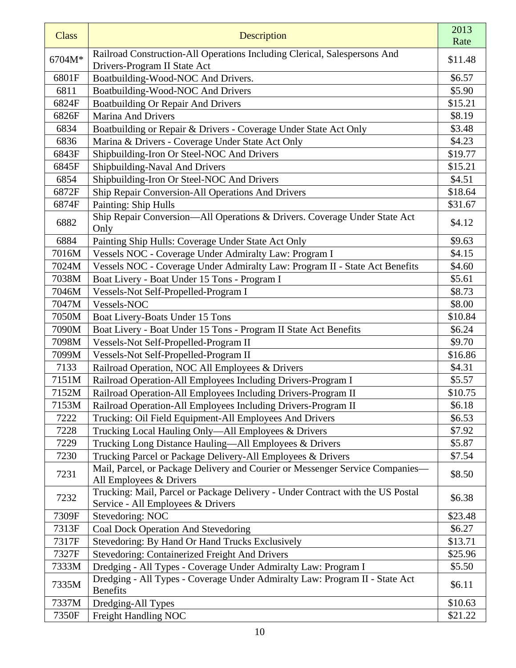| <b>Class</b> | Description                                                                       | 2013<br>Rate |
|--------------|-----------------------------------------------------------------------------------|--------------|
|              | Railroad Construction-All Operations Including Clerical, Salespersons And         |              |
| 6704M*       | Drivers-Program II State Act                                                      | \$11.48      |
| 6801F        | Boatbuilding-Wood-NOC And Drivers.                                                | \$6.57       |
| 6811         | Boatbuilding-Wood-NOC And Drivers                                                 | \$5.90       |
| 6824F        | <b>Boatbuilding Or Repair And Drivers</b>                                         | \$15.21      |
| 6826F        | <b>Marina And Drivers</b>                                                         | \$8.19       |
| 6834         | Boatbuilding or Repair & Drivers - Coverage Under State Act Only                  | \$3.48       |
| 6836         | Marina & Drivers - Coverage Under State Act Only                                  | \$4.23       |
| 6843F        | Shipbuilding-Iron Or Steel-NOC And Drivers                                        | \$19.77      |
| 6845F        | Shipbuilding-Naval And Drivers                                                    | \$15.21      |
| 6854         | Shipbuilding-Iron Or Steel-NOC And Drivers                                        | \$4.51       |
| 6872F        | Ship Repair Conversion-All Operations And Drivers                                 | \$18.64      |
| 6874F        | Painting: Ship Hulls                                                              | \$31.67      |
| 6882         | Ship Repair Conversion-All Operations & Drivers. Coverage Under State Act<br>Only | \$4.12       |
| 6884         | Painting Ship Hulls: Coverage Under State Act Only                                | \$9.63       |
| 7016M        | Vessels NOC - Coverage Under Admiralty Law: Program I                             | \$4.15       |
| 7024M        | Vessels NOC - Coverage Under Admiralty Law: Program II - State Act Benefits       | \$4.60       |
| 7038M        | Boat Livery - Boat Under 15 Tons - Program I                                      | \$5.61       |
| 7046M        | Vessels-Not Self-Propelled-Program I                                              | \$8.73       |
| 7047M        | Vessels-NOC                                                                       | \$8.00       |
| 7050M        | Boat Livery-Boats Under 15 Tons                                                   | \$10.84      |
| 7090M        | Boat Livery - Boat Under 15 Tons - Program II State Act Benefits                  | \$6.24       |
| 7098M        | Vessels-Not Self-Propelled-Program II                                             | \$9.70       |
| 7099M        | Vessels-Not Self-Propelled-Program II                                             | \$16.86      |
| 7133         | Railroad Operation, NOC All Employees & Drivers                                   | \$4.31       |
| 7151M        | Railroad Operation-All Employees Including Drivers-Program I                      | \$5.57       |
| 7152M        | Railroad Operation-All Employees Including Drivers-Program II                     | \$10.75      |
| 7153M        | Railroad Operation-All Employees Including Drivers-Program II                     | \$6.18       |
| 7222         | Trucking: Oil Field Equipment-All Employees And Drivers                           | \$6.53       |
| 7228         | Trucking Local Hauling Only—All Employees & Drivers                               | \$7.92       |
| 7229         | Trucking Long Distance Hauling—All Employees & Drivers                            | \$5.87       |
| 7230         | Trucking Parcel or Package Delivery-All Employees & Drivers                       | \$7.54       |
| 7231         | Mail, Parcel, or Package Delivery and Courier or Messenger Service Companies-     | \$8.50       |
|              | All Employees & Drivers                                                           |              |
| 7232         | Trucking: Mail, Parcel or Package Delivery - Under Contract with the US Postal    | \$6.38       |
| 7309F        | Service - All Employees & Drivers<br>Stevedoring: NOC                             | \$23.48      |
| 7313F        | Coal Dock Operation And Stevedoring                                               | \$6.27       |
| 7317F        | Stevedoring: By Hand Or Hand Trucks Exclusively                                   | \$13.71      |
| 7327F        | <b>Stevedoring: Containerized Freight And Drivers</b>                             | \$25.96      |
| 7333M        | Dredging - All Types - Coverage Under Admiralty Law: Program I                    | \$5.50       |
|              | Dredging - All Types - Coverage Under Admiralty Law: Program II - State Act       |              |
| 7335M        | <b>Benefits</b>                                                                   | \$6.11       |
| 7337M        | Dredging-All Types                                                                | \$10.63      |
| 7350F        | Freight Handling NOC                                                              | \$21.22      |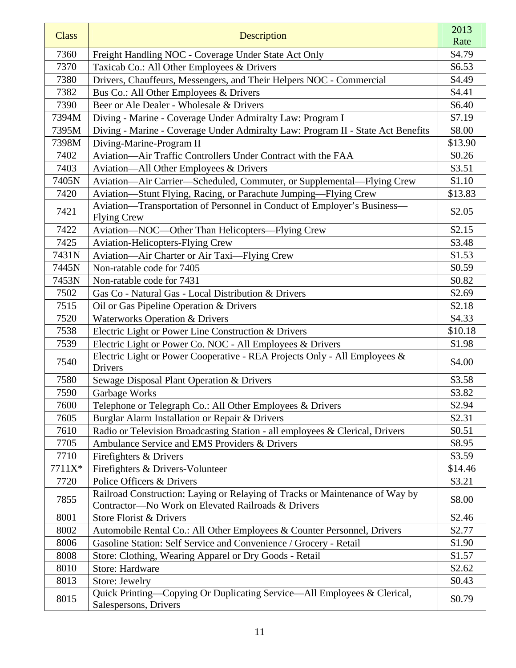| <b>Class</b> | Description                                                                                                                        | 2013    |
|--------------|------------------------------------------------------------------------------------------------------------------------------------|---------|
|              |                                                                                                                                    | Rate    |
| 7360         | Freight Handling NOC - Coverage Under State Act Only                                                                               | \$4.79  |
| 7370         | Taxicab Co.: All Other Employees & Drivers                                                                                         | \$6.53  |
| 7380         | Drivers, Chauffeurs, Messengers, and Their Helpers NOC - Commercial                                                                | \$4.49  |
| 7382         | Bus Co.: All Other Employees & Drivers                                                                                             | \$4.41  |
| 7390         | Beer or Ale Dealer - Wholesale & Drivers                                                                                           | \$6.40  |
| 7394M        | Diving - Marine - Coverage Under Admiralty Law: Program I                                                                          | \$7.19  |
| 7395M        | Diving - Marine - Coverage Under Admiralty Law: Program II - State Act Benefits                                                    | \$8.00  |
| 7398M        | Diving-Marine-Program II                                                                                                           | \$13.90 |
| 7402         | Aviation-Air Traffic Controllers Under Contract with the FAA                                                                       | \$0.26  |
| 7403         | Aviation—All Other Employees & Drivers                                                                                             | \$3.51  |
| 7405N        | Aviation-Air Carrier-Scheduled, Commuter, or Supplemental-Flying Crew                                                              | \$1.10  |
| 7420         | Aviation-Stunt Flying, Racing, or Parachute Jumping-Flying Crew                                                                    | \$13.83 |
| 7421         | Aviation-Transportation of Personnel in Conduct of Employer's Business-<br><b>Flying Crew</b>                                      | \$2.05  |
| 7422         | Aviation-NOC-Other Than Helicopters-Flying Crew                                                                                    | \$2.15  |
| 7425         | <b>Aviation-Helicopters-Flying Crew</b>                                                                                            | \$3.48  |
| 7431N        | Aviation-Air Charter or Air Taxi-Flying Crew                                                                                       | \$1.53  |
| 7445N        | Non-ratable code for 7405                                                                                                          | \$0.59  |
| 7453N        | Non-ratable code for 7431                                                                                                          | \$0.82  |
| 7502         | Gas Co - Natural Gas - Local Distribution & Drivers                                                                                | \$2.69  |
| 7515         | Oil or Gas Pipeline Operation & Drivers                                                                                            | \$2.18  |
| 7520         | <b>Waterworks Operation &amp; Drivers</b>                                                                                          | \$4.33  |
| 7538         | Electric Light or Power Line Construction & Drivers                                                                                | \$10.18 |
| 7539         | Electric Light or Power Co. NOC - All Employees & Drivers                                                                          | \$1.98  |
| 7540         | Electric Light or Power Cooperative - REA Projects Only - All Employees &<br>Drivers                                               | \$4.00  |
| 7580         | Sewage Disposal Plant Operation & Drivers                                                                                          | \$3.58  |
| 7590         | Garbage Works                                                                                                                      | \$3.82  |
| 7600         | Telephone or Telegraph Co.: All Other Employees & Drivers                                                                          | \$2.94  |
| 7605         | Burglar Alarm Installation or Repair & Drivers                                                                                     | \$2.31  |
| 7610         | Radio or Television Broadcasting Station - all employees & Clerical, Drivers                                                       | \$0.51  |
| 7705         | Ambulance Service and EMS Providers & Drivers                                                                                      | \$8.95  |
| 7710         | Firefighters & Drivers                                                                                                             | \$3.59  |
| 7711X*       | Firefighters & Drivers-Volunteer                                                                                                   | \$14.46 |
| 7720         | Police Officers & Drivers                                                                                                          | \$3.21  |
| 7855         | Railroad Construction: Laying or Relaying of Tracks or Maintenance of Way by<br>Contractor-No Work on Elevated Railroads & Drivers | \$8.00  |
| 8001         | Store Florist & Drivers                                                                                                            | \$2.46  |
| 8002         | Automobile Rental Co.: All Other Employees & Counter Personnel, Drivers                                                            | \$2.77  |
| 8006         | Gasoline Station: Self Service and Convenience / Grocery - Retail                                                                  | \$1.90  |
| 8008         | Store: Clothing, Wearing Apparel or Dry Goods - Retail                                                                             | \$1.57  |
| 8010         | Store: Hardware                                                                                                                    | \$2.62  |
| 8013         | Store: Jewelry                                                                                                                     | \$0.43  |
| 8015         | Quick Printing—Copying Or Duplicating Service—All Employees & Clerical,<br>Salespersons, Drivers                                   | \$0.79  |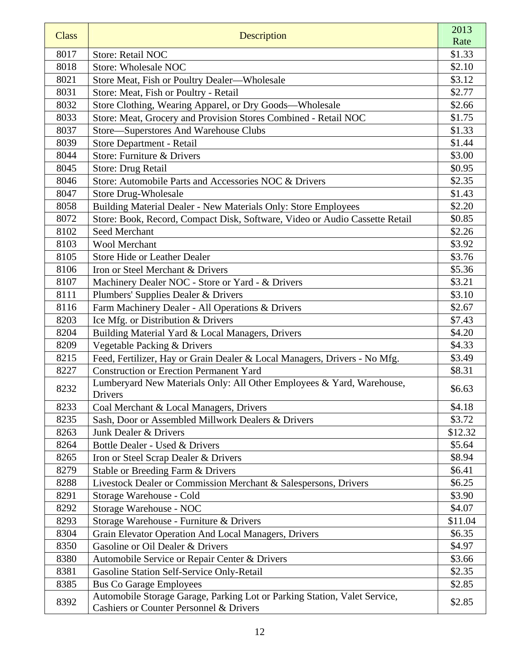| <b>Class</b> | Description                                                                      | 2013    |
|--------------|----------------------------------------------------------------------------------|---------|
|              |                                                                                  | Rate    |
| 8017         | <b>Store: Retail NOC</b>                                                         | \$1.33  |
| 8018         | <b>Store: Wholesale NOC</b>                                                      | \$2.10  |
| 8021         | Store Meat, Fish or Poultry Dealer—Wholesale                                     | \$3.12  |
| 8031         | Store: Meat, Fish or Poultry - Retail                                            | \$2.77  |
| 8032         | Store Clothing, Wearing Apparel, or Dry Goods—Wholesale                          | \$2.66  |
| 8033         | Store: Meat, Grocery and Provision Stores Combined - Retail NOC                  | \$1.75  |
| 8037         | Store—Superstores And Warehouse Clubs                                            | \$1.33  |
| 8039         | Store Department - Retail                                                        | \$1.44  |
| 8044         | Store: Furniture & Drivers                                                       | \$3.00  |
| 8045         | Store: Drug Retail                                                               | \$0.95  |
| 8046         | Store: Automobile Parts and Accessories NOC & Drivers                            | \$2.35  |
| 8047         | <b>Store Drug-Wholesale</b>                                                      | \$1.43  |
| 8058         | Building Material Dealer - New Materials Only: Store Employees                   | \$2.20  |
| 8072         | Store: Book, Record, Compact Disk, Software, Video or Audio Cassette Retail      | \$0.85  |
| 8102         | Seed Merchant                                                                    | \$2.26  |
| 8103         | <b>Wool Merchant</b>                                                             | \$3.92  |
| 8105         | <b>Store Hide or Leather Dealer</b>                                              | \$3.76  |
| 8106         | Iron or Steel Merchant & Drivers                                                 | \$5.36  |
| 8107         | Machinery Dealer NOC - Store or Yard - & Drivers                                 | \$3.21  |
| 8111         | Plumbers' Supplies Dealer & Drivers                                              | \$3.10  |
| 8116         | Farm Machinery Dealer - All Operations & Drivers                                 | \$2.67  |
| 8203         | Ice Mfg. or Distribution & Drivers                                               | \$7.43  |
| 8204         | Building Material Yard & Local Managers, Drivers                                 | \$4.20  |
| 8209         | Vegetable Packing & Drivers                                                      | \$4.33  |
| 8215         | Feed, Fertilizer, Hay or Grain Dealer & Local Managers, Drivers - No Mfg.        | \$3.49  |
| 8227         | <b>Construction or Erection Permanent Yard</b>                                   | \$8.31  |
| 8232         | Lumberyard New Materials Only: All Other Employees & Yard, Warehouse,<br>Drivers | \$6.63  |
| 8233         | Coal Merchant & Local Managers, Drivers                                          | \$4.18  |
| 8235         | Sash, Door or Assembled Millwork Dealers & Drivers                               | \$3.72  |
| 8263         | Junk Dealer & Drivers                                                            | \$12.32 |
| 8264         | Bottle Dealer - Used & Drivers                                                   | \$5.64  |
| 8265         | Iron or Steel Scrap Dealer & Drivers                                             | \$8.94  |
| 8279         | Stable or Breeding Farm & Drivers                                                | \$6.41  |
| 8288         | Livestock Dealer or Commission Merchant & Salespersons, Drivers                  | \$6.25  |
| 8291         | Storage Warehouse - Cold                                                         | \$3.90  |
| 8292         | Storage Warehouse - NOC                                                          | \$4.07  |
| 8293         | Storage Warehouse - Furniture & Drivers                                          | \$11.04 |
| 8304         | Grain Elevator Operation And Local Managers, Drivers                             | \$6.35  |
| 8350         | Gasoline or Oil Dealer & Drivers                                                 | \$4.97  |
| 8380         | Automobile Service or Repair Center & Drivers                                    | \$3.66  |
| 8381         | Gasoline Station Self-Service Only-Retail                                        | \$2.35  |
| 8385         | <b>Bus Co Garage Employees</b>                                                   | \$2.85  |
|              | Automobile Storage Garage, Parking Lot or Parking Station, Valet Service,        |         |
| 8392         | Cashiers or Counter Personnel & Drivers                                          | \$2.85  |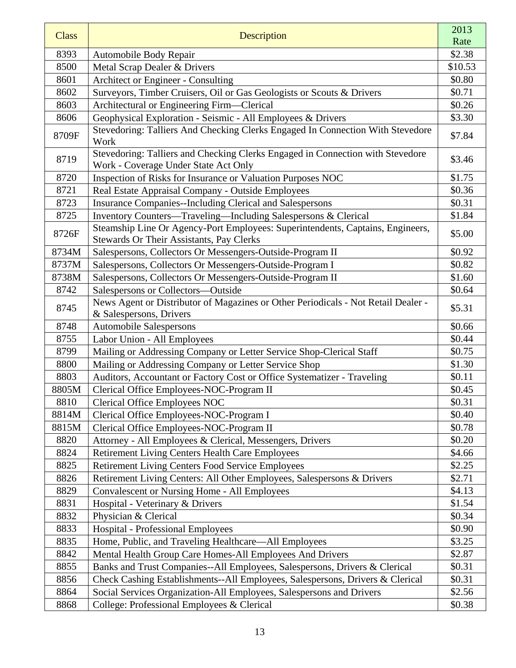| <b>Class</b> | Description                                                                                                                | 2013<br>Rate |
|--------------|----------------------------------------------------------------------------------------------------------------------------|--------------|
| 8393         | Automobile Body Repair                                                                                                     | \$2.38       |
| 8500         | Metal Scrap Dealer & Drivers                                                                                               | \$10.53      |
| 8601         | Architect or Engineer - Consulting                                                                                         | \$0.80       |
| 8602         | Surveyors, Timber Cruisers, Oil or Gas Geologists or Scouts & Drivers                                                      | \$0.71       |
| 8603         | Architectural or Engineering Firm—Clerical                                                                                 | \$0.26       |
| 8606         | Geophysical Exploration - Seismic - All Employees & Drivers                                                                | \$3.30       |
| 8709F        | Stevedoring: Talliers And Checking Clerks Engaged In Connection With Stevedore<br>Work                                     | \$7.84       |
| 8719         | Stevedoring: Talliers and Checking Clerks Engaged in Connection with Stevedore<br>Work - Coverage Under State Act Only     | \$3.46       |
| 8720         | Inspection of Risks for Insurance or Valuation Purposes NOC                                                                | \$1.75       |
| 8721         | Real Estate Appraisal Company - Outside Employees                                                                          | \$0.36       |
| 8723         | <b>Insurance Companies--Including Clerical and Salespersons</b>                                                            | \$0.31       |
| 8725         | Inventory Counters—Traveling—Including Salespersons & Clerical                                                             | \$1.84       |
| 8726F        | Steamship Line Or Agency-Port Employees: Superintendents, Captains, Engineers,<br>Stewards Or Their Assistants, Pay Clerks | \$5.00       |
| 8734M        | Salespersons, Collectors Or Messengers-Outside-Program II                                                                  | \$0.92       |
| 8737M        | Salespersons, Collectors Or Messengers-Outside-Program I                                                                   | \$0.82       |
| 8738M        | Salespersons, Collectors Or Messengers-Outside-Program II                                                                  | \$1.60       |
| 8742         | Salespersons or Collectors-Outside                                                                                         | \$0.64       |
| 8745         | News Agent or Distributor of Magazines or Other Periodicals - Not Retail Dealer -<br>& Salespersons, Drivers               | \$5.31       |
| 8748         | <b>Automobile Salespersons</b>                                                                                             | \$0.66       |
| 8755         | Labor Union - All Employees                                                                                                | \$0.44       |
| 8799         | Mailing or Addressing Company or Letter Service Shop-Clerical Staff                                                        | \$0.75       |
| 8800         | Mailing or Addressing Company or Letter Service Shop                                                                       | \$1.30       |
| 8803         | Auditors, Accountant or Factory Cost or Office Systematizer - Traveling                                                    | \$0.11       |
| 8805M        | Clerical Office Employees-NOC-Program II                                                                                   | \$0.45       |
| 8810         | <b>Clerical Office Employees NOC</b>                                                                                       | \$0.31       |
| 8814M        | Clerical Office Employees-NOC-Program I                                                                                    | \$0.40       |
| 8815M        | Clerical Office Employees-NOC-Program II                                                                                   | \$0.78       |
| 8820         | Attorney - All Employees & Clerical, Messengers, Drivers                                                                   | \$0.20       |
| 8824         | <b>Retirement Living Centers Health Care Employees</b>                                                                     | \$4.66       |
| 8825         | Retirement Living Centers Food Service Employees                                                                           | \$2.25       |
| 8826         | Retirement Living Centers: All Other Employees, Salespersons & Drivers                                                     | \$2.71       |
| 8829         | <b>Convalescent or Nursing Home - All Employees</b>                                                                        | \$4.13       |
| 8831         | Hospital - Veterinary & Drivers                                                                                            | \$1.54       |
| 8832         | Physician & Clerical                                                                                                       | \$0.34       |
| 8833         | <b>Hospital - Professional Employees</b>                                                                                   | \$0.90       |
| 8835         | Home, Public, and Traveling Healthcare—All Employees                                                                       | \$3.25       |
| 8842         | Mental Health Group Care Homes-All Employees And Drivers                                                                   | \$2.87       |
| 8855         | Banks and Trust Companies--All Employees, Salespersons, Drivers & Clerical                                                 | \$0.31       |
| 8856         | Check Cashing Establishments--All Employees, Salespersons, Drivers & Clerical                                              | \$0.31       |
| 8864         | Social Services Organization-All Employees, Salespersons and Drivers                                                       | \$2.56       |
| 8868         | College: Professional Employees & Clerical                                                                                 | \$0.38       |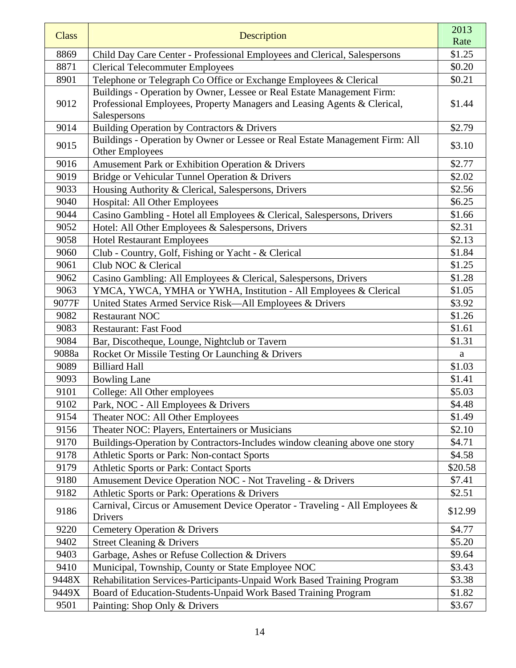| <b>Class</b> | Description                                                                              | 2013    |
|--------------|------------------------------------------------------------------------------------------|---------|
|              |                                                                                          | Rate    |
| 8869         | Child Day Care Center - Professional Employees and Clerical, Salespersons                | \$1.25  |
| 8871         | <b>Clerical Telecommuter Employees</b>                                                   | \$0.20  |
| 8901         | Telephone or Telegraph Co Office or Exchange Employees & Clerical                        | \$0.21  |
| 9012         | Buildings - Operation by Owner, Lessee or Real Estate Management Firm:                   |         |
|              | Professional Employees, Property Managers and Leasing Agents & Clerical,<br>Salespersons | \$1.44  |
| 9014         | Building Operation by Contractors & Drivers                                              | \$2.79  |
|              | Buildings - Operation by Owner or Lessee or Real Estate Management Firm: All             |         |
| 9015         | <b>Other Employees</b>                                                                   | \$3.10  |
| 9016         | Amusement Park or Exhibition Operation & Drivers                                         | \$2.77  |
| 9019         | Bridge or Vehicular Tunnel Operation & Drivers                                           | \$2.02  |
| 9033         | Housing Authority & Clerical, Salespersons, Drivers                                      | \$2.56  |
| 9040         | Hospital: All Other Employees                                                            | \$6.25  |
| 9044         | Casino Gambling - Hotel all Employees & Clerical, Salespersons, Drivers                  | \$1.66  |
| 9052         | Hotel: All Other Employees & Salespersons, Drivers                                       | \$2.31  |
| 9058         | <b>Hotel Restaurant Employees</b>                                                        | \$2.13  |
| 9060         | Club - Country, Golf, Fishing or Yacht - & Clerical                                      | \$1.84  |
| 9061         | Club NOC & Clerical                                                                      | \$1.25  |
| 9062         | Casino Gambling: All Employees & Clerical, Salespersons, Drivers                         | \$1.28  |
| 9063         | YMCA, YWCA, YMHA or YWHA, Institution - All Employees & Clerical                         | \$1.05  |
| 9077F        | United States Armed Service Risk-All Employees & Drivers                                 | \$3.92  |
| 9082         | <b>Restaurant NOC</b>                                                                    | \$1.26  |
| 9083         | <b>Restaurant: Fast Food</b>                                                             | \$1.61  |
| 9084         | Bar, Discotheque, Lounge, Nightclub or Tavern                                            | \$1.31  |
| 9088a        | Rocket Or Missile Testing Or Launching & Drivers                                         | a       |
| 9089         | <b>Billiard Hall</b>                                                                     | \$1.03  |
| 9093         | <b>Bowling Lane</b>                                                                      | \$1.41  |
| 9101         | College: All Other employees                                                             | \$5.03  |
| 9102         | Park, NOC - All Employees & Drivers                                                      | \$4.48  |
| 9154         | Theater NOC: All Other Employees                                                         | \$1.49  |
| 9156         | Theater NOC: Players, Entertainers or Musicians                                          | \$2.10  |
| 9170         | Buildings-Operation by Contractors-Includes window cleaning above one story              | \$4.71  |
| 9178         | Athletic Sports or Park: Non-contact Sports                                              | \$4.58  |
| 9179         | <b>Athletic Sports or Park: Contact Sports</b>                                           | \$20.58 |
| 9180         | Amusement Device Operation NOC - Not Traveling - & Drivers                               | \$7.41  |
| 9182         | Athletic Sports or Park: Operations & Drivers                                            | \$2.51  |
| 9186         | Carnival, Circus or Amusement Device Operator - Traveling - All Employees &<br>Drivers   | \$12.99 |
| 9220         | Cemetery Operation & Drivers                                                             | \$4.77  |
| 9402         | <b>Street Cleaning &amp; Drivers</b>                                                     | \$5.20  |
| 9403         | Garbage, Ashes or Refuse Collection & Drivers                                            | \$9.64  |
| 9410         | Municipal, Township, County or State Employee NOC                                        | \$3.43  |
| 9448X        | Rehabilitation Services-Participants-Unpaid Work Based Training Program                  | \$3.38  |
| 9449X        | Board of Education-Students-Unpaid Work Based Training Program                           | \$1.82  |
| 9501         | Painting: Shop Only & Drivers                                                            | \$3.67  |